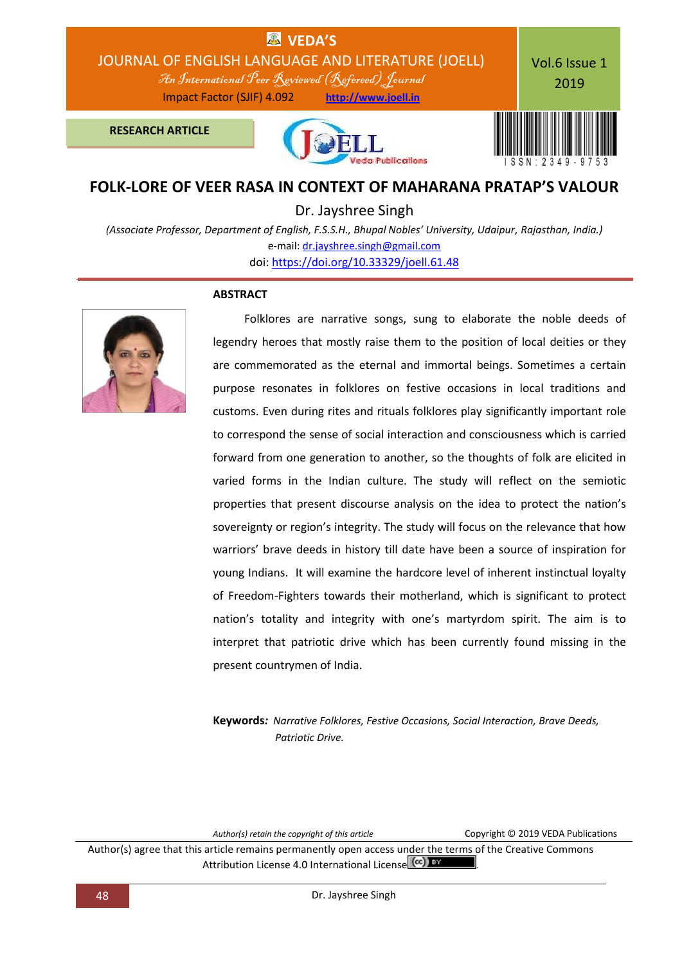

## **FOLK-LORE OF VEER RASA IN CONTEXT OF MAHARANA PRATAP'S VALOUR**

Dr. Jayshree Singh

*(Associate Professor, Department of English, F.S.S.H., Bhupal Nobles' University, Udaipur, Rajasthan, India.)* e-mail: [dr.jayshree.singh@gmail.com](mailto:dr.jayshree.singh@gmail.com) doi: [https://doi.org/10.33329/joell.61.48](http://joell.in/2019/02/01/doi-https-doi-org-10-33329-joell-61-48/)

### **ABSTRACT**



 Folklores are narrative songs, sung to elaborate the noble deeds of legendry heroes that mostly raise them to the position of local deities or they are commemorated as the eternal and immortal beings. Sometimes a certain purpose resonates in folklores on festive occasions in local traditions and customs. Even during rites and rituals folklores play significantly important role to correspond the sense of social interaction and consciousness which is carried forward from one generation to another, so the thoughts of folk are elicited in varied forms in the Indian culture. The study will reflect on the semiotic properties that present discourse analysis on the idea to protect the nation's sovereignty or region's integrity. The study will focus on the relevance that how warriors' brave deeds in history till date have been a source of inspiration for young Indians. It will examine the hardcore level of inherent instinctual loyalty of Freedom-Fighters towards their motherland, which is significant to protect nation's totality and integrity with one's martyrdom spirit. The aim is to interpret that patriotic drive which has been currently found missing in the present countrymen of India.

**Keywords***: Narrative Folklores, Festive Occasions, Social Interaction, Brave Deeds, Patriotic Drive.*

*Author(s) retain the copyright of this article* Copyright © 2019 VEDA Publications

Author(s) agree that this article remains permanently open access under the terms of the Creative Commons Attribution License 4.0 International License CCC) BY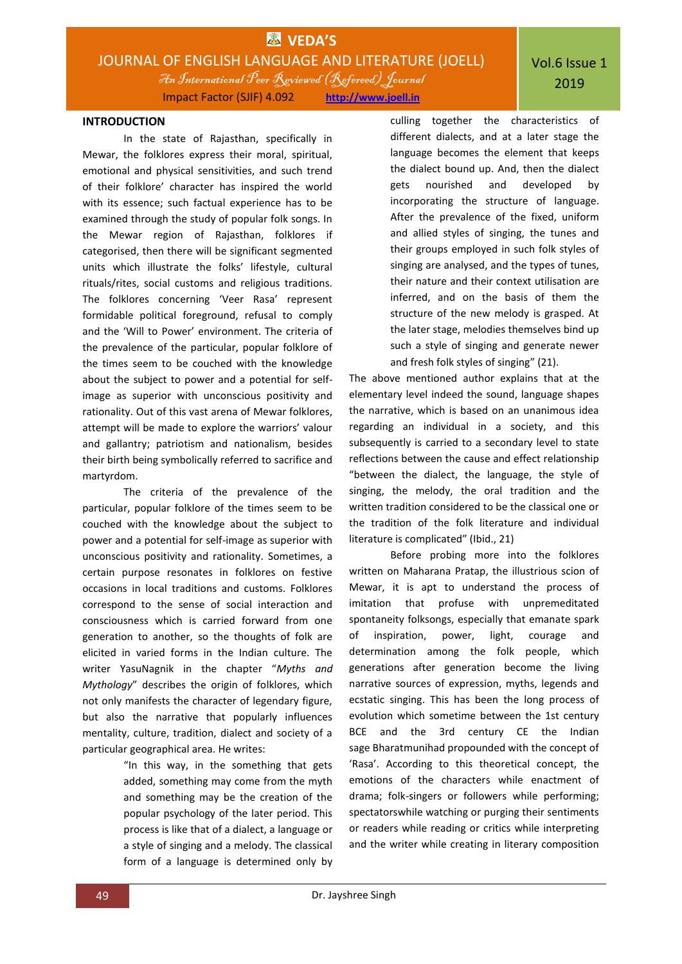### **INTRODUCTION**

In the state of Rajasthan, specifically in Mewar, the folklores express their moral, spiritual, emotional and physical sensitivities, and such trend of their folklore' character has inspired the world with its essence; such factual experience has to be examined through the study of popular folk songs. In the Mewar region of Rajasthan, folklores if categorised, then there will be significant segmented units which illustrate the folks' lifestyle, cultural rituals/rites, social customs and religious traditions. The folklores concerning 'Veer Rasa' represent formidable political foreground, refusal to comply and the 'Will to Power' environment. The criteria of the prevalence of the particular, popular folklore of the times seem to be couched with the knowledge about the subject to power and a potential for selfimage as superior with unconscious positivity and rationality. Out of this vast arena of Mewar folklores, attempt will be made to explore the warriors' valour and gallantry; patriotism and nationalism, besides their birth being symbolically referred to sacrifice and martyrdom.

The criteria of the prevalence of the particular, popular folklore of the times seem to be couched with the knowledge about the subject to power and a potential for self-image as superior with unconscious positivity and rationality. Sometimes, a certain purpose resonates in folklores on festive occasions in local traditions and customs. Folklores correspond to the sense of social interaction and consciousness which is carried forward from one generation to another, so the thoughts of folk are elicited in varied forms in the Indian culture. The writer YasuNagnik in the chapter "*Myths and Mythology*" describes the origin of folklores, which not only manifests the character of legendary figure, but also the narrative that popularly influences mentality, culture, tradition, dialect and society of a particular geographical area. He writes:

> "In this way, in the something that gets added, something may come from the myth and something may be the creation of the popular psychology of the later period. This process is like that of a dialect, a language or a style of singing and a melody. The classical form of a language is determined only by

culling together the characteristics of different dialects, and at a later stage the language becomes the element that keeps the dialect bound up. And, then the dialect gets nourished and developed by incorporating the structure of language. After the prevalence of the fixed, uniform and allied styles of singing, the tunes and their groups employed in such folk styles of singing are analysed, and the types of tunes, their nature and their context utilisation are inferred, and on the basis of them the structure of the new melody is grasped. At the later stage, melodies themselves bind up such a style of singing and generate newer and fresh folk styles of singing" (21).

The above mentioned author explains that at the elementary level indeed the sound, language shapes the narrative, which is based on an unanimous idea regarding an individual in a society, and this subsequently is carried to a secondary level to state reflections between the cause and effect relationship "between the dialect, the language, the style of singing, the melody, the oral tradition and the written tradition considered to be the classical one or the tradition of the folk literature and individual literature is complicated" (Ibid., 21)

Before probing more into the folklores written on Maharana Pratap, the illustrious scion of Mewar, it is apt to understand the process of imitation that profuse with unpremeditated spontaneity folksongs, especially that emanate spark of inspiration, power, light, courage and determination among the folk people, which generations after generation become the living narrative sources of expression, myths, legends and ecstatic singing. This has been the long process of evolution which sometime between the 1st century BCE and the 3rd century CE the Indian sage Bharatmunihad propounded with the concept of 'Rasa'. According to this theoretical concept, the emotions of the characters while enactment of drama; folk-singers or followers while performing; spectatorswhile watching or purging their sentiments or readers while reading or critics while interpreting and the writer while creating in literary composition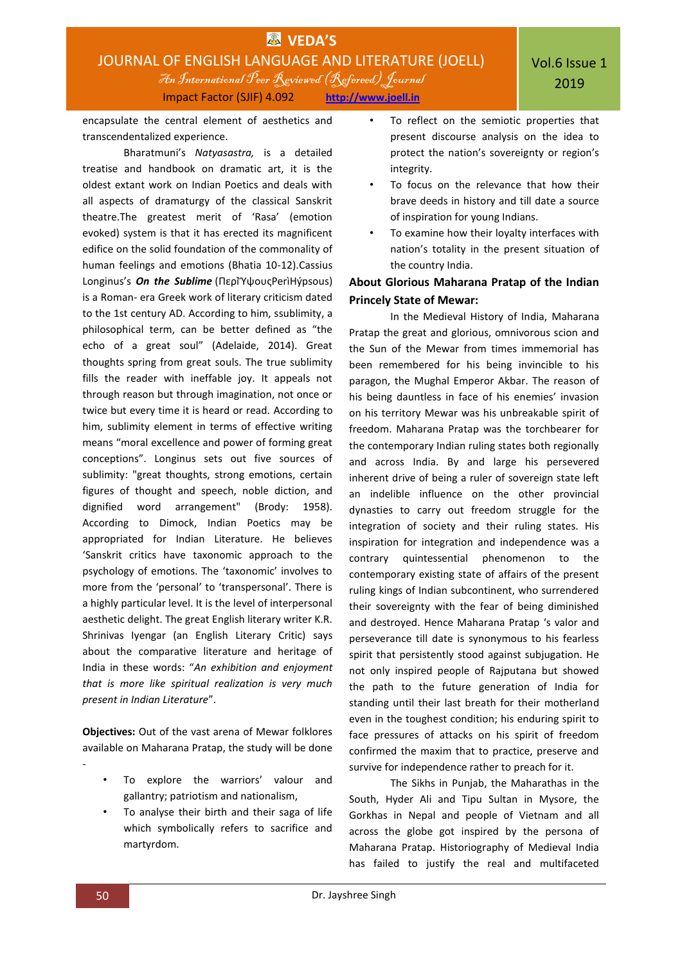

encapsulate the central element of aesthetics and transcendentalized experience.

Bharatmuni's *Natyasastra,* is a detailed treatise and handbook on dramatic art, it is the oldest extant work on Indian Poetics and deals with all aspects of dramaturgy of the classical Sanskrit theatre.The greatest merit of 'Rasa' (emotion evoked) system is that it has erected its magnificent edifice on the solid foundation of the commonality of human feelings and emotions (Bhatia 10-12).Cassius Longinus's *On the Sublime* (ΠερΙΎψουςPerìHýpsous) is a Roman- era Greek work of literary criticism dated to the 1st century AD. According to him, ssublimity, a philosophical term, can be better defined as "the echo of a great soul" (Adelaide, 2014). Great thoughts spring from great souls. The true sublimity fills the reader with ineffable joy. It appeals not through reason but through imagination, not once or twice but every time it is heard or read. According to him, sublimity element in terms of effective writing means "moral excellence and power of forming great conceptions". Longinus sets out five sources of sublimity: "great thoughts, strong emotions, certain figures of thought and speech, noble diction, and dignified word arrangement" (Brody: 1958). According to Dimock, Indian Poetics may be appropriated for Indian Literature. He believes 'Sanskrit critics have taxonomic approach to the psychology of emotions. The 'taxonomic' involves to more from the 'personal' to 'transpersonal'. There is a highly particular level. It is the level of interpersonal aesthetic delight. The great English literary writer K.R. Shrinivas Iyengar (an English Literary Critic) says about the comparative literature and heritage of India in these words: "*An exhibition and enjoyment that is more like spiritual realization is very much present in Indian Literature*".

**Objectives:** Out of the vast arena of Mewar folklores available on Maharana Pratap, the study will be done

- To explore the warriors' valour and gallantry; patriotism and nationalism,
- To analyse their birth and their saga of life which symbolically refers to sacrifice and martyrdom.
- To reflect on the semiotic properties that present discourse analysis on the idea to protect the nation's sovereignty or region's integrity.
- To focus on the relevance that how their brave deeds in history and till date a source of inspiration for young Indians.
- To examine how their loyalty interfaces with nation's totality in the present situation of the country India.

### **About Glorious Maharana Pratap of the Indian Princely State of Mewar:**

In the Medieval History of India, Maharana Pratap the great and glorious, omnivorous scion and the Sun of the Mewar from times immemorial has been remembered for his being invincible to his paragon, the Mughal Emperor Akbar. The reason of his being dauntless in face of his enemies' invasion on his territory Mewar was his unbreakable spirit of freedom. Maharana Pratap was the torchbearer for the contemporary Indian ruling states both regionally and across India. By and large his persevered inherent drive of being a ruler of sovereign state left an indelible influence on the other provincial dynasties to carry out freedom struggle for the integration of society and their ruling states. His inspiration for integration and independence was a contrary quintessential phenomenon to the contemporary existing state of affairs of the present ruling kings of Indian subcontinent, who surrendered their sovereignty with the fear of being diminished and destroyed. Hence Maharana Pratap 's valor and perseverance till date is synonymous to his fearless spirit that persistently stood against subjugation. He not only inspired people of Rajputana but showed the path to the future generation of India for standing until their last breath for their motherland even in the toughest condition; his enduring spirit to face pressures of attacks on his spirit of freedom confirmed the maxim that to practice, preserve and survive for independence rather to preach for it.

The Sikhs in Punjab, the Maharathas in the South, Hyder Ali and Tipu Sultan in Mysore, the Gorkhas in Nepal and people of Vietnam and all across the globe got inspired by the persona of Maharana Pratap. Historiography of Medieval India has failed to justify the real and multifaceted

-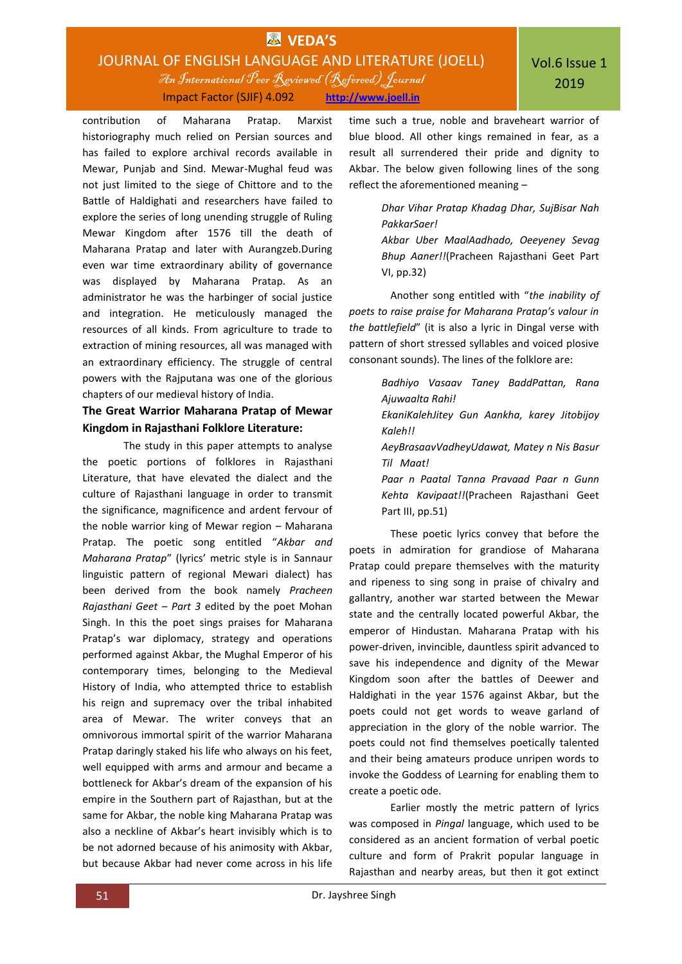# **EX** VEDA'S JOURNAL OF ENGLISH LANGUAGE AND LITERATURE (JOELL) An International Peer Reviewed (Refereed)Journal

Impact Factor (SJIF) 4.092 **http://www.joell.in**

contribution of Maharana Pratap. Marxist historiography much relied on Persian sources and has failed to explore archival records available in Mewar, Punjab and Sind. Mewar-Mughal feud was not just limited to the siege of Chittore and to the Battle of Haldighati and researchers have failed to explore the series of long unending struggle of Ruling Mewar Kingdom after 1576 till the death of Maharana Pratap and later with Aurangzeb.During even war time extraordinary ability of governance was displayed by Maharana Pratap. As an administrator he was the harbinger of social justice and integration. He meticulously managed the resources of all kinds. From agriculture to trade to extraction of mining resources, all was managed with an extraordinary efficiency. The struggle of central powers with the Rajputana was one of the glorious chapters of our medieval history of India.

## **The Great Warrior Maharana Pratap of Mewar Kingdom in Rajasthani Folklore Literature:**

The study in this paper attempts to analyse the poetic portions of folklores in Rajasthani Literature, that have elevated the dialect and the culture of Rajasthani language in order to transmit the significance, magnificence and ardent fervour of the noble warrior king of Mewar region – Maharana Pratap. The poetic song entitled "*Akbar and Maharana Pratap*" (lyrics' metric style is in Sannaur linguistic pattern of regional Mewari dialect) has been derived from the book namely *Pracheen Rajasthani Geet – Part 3* edited by the poet Mohan Singh. In this the poet sings praises for Maharana Pratap's war diplomacy, strategy and operations performed against Akbar, the Mughal Emperor of his contemporary times, belonging to the Medieval History of India, who attempted thrice to establish his reign and supremacy over the tribal inhabited area of Mewar. The writer conveys that an omnivorous immortal spirit of the warrior Maharana Pratap daringly staked his life who always on his feet, well equipped with arms and armour and became a bottleneck for Akbar's dream of the expansion of his empire in the Southern part of Rajasthan, but at the same for Akbar, the noble king Maharana Pratap was also a neckline of Akbar's heart invisibly which is to be not adorned because of his animosity with Akbar, but because Akbar had never come across in his life

time such a true, noble and braveheart warrior of blue blood. All other kings remained in fear, as a result all surrendered their pride and dignity to Akbar. The below given following lines of the song reflect the aforementioned meaning –

> *Dhar Vihar Pratap Khadag Dhar, SujBisar Nah PakkarSaer!*

> *Akbar Uber MaalAadhado, Oeeyeney Sevag Bhup Aaner!!*(Pracheen Rajasthani Geet Part VI, pp.32)

Another song entitled with "*the inability of poets to raise praise for Maharana Pratap's valour in the battlefield*" (it is also a lyric in Dingal verse with pattern of short stressed syllables and voiced plosive consonant sounds). The lines of the folklore are:

> *Badhiyo Vasaav Taney BaddPattan, Rana Ajuwaalta Rahi! EkaniKalehJitey Gun Aankha, karey Jitobijoy Kaleh!! AeyBrasaavVadheyUdawat, Matey n Nis Basur Til Maat! Paar n Paatal Tanna Pravaad Paar n Gunn Kehta Kavipaat!!*(Pracheen Rajasthani Geet Part III, pp.51)

These poetic lyrics convey that before the poets in admiration for grandiose of Maharana Pratap could prepare themselves with the maturity and ripeness to sing song in praise of chivalry and gallantry, another war started between the Mewar state and the centrally located powerful Akbar, the emperor of Hindustan. Maharana Pratap with his power-driven, invincible, dauntless spirit advanced to save his independence and dignity of the Mewar Kingdom soon after the battles of Deewer and Haldighati in the year 1576 against Akbar, but the poets could not get words to weave garland of appreciation in the glory of the noble warrior. The poets could not find themselves poetically talented and their being amateurs produce unripen words to invoke the Goddess of Learning for enabling them to create a poetic ode.

Earlier mostly the metric pattern of lyrics was composed in *Pingal* language, which used to be considered as an ancient formation of verbal poetic culture and form of Prakrit popular language in Rajasthan and nearby areas, but then it got extinct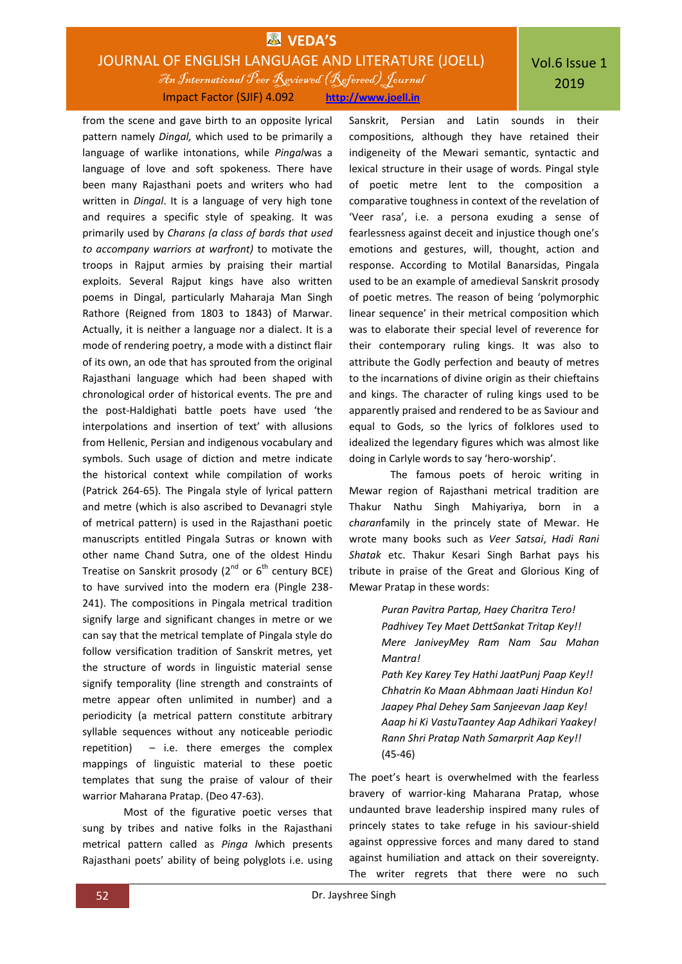## **EX** VEDA'S JOURNAL OF ENGLISH LANGUAGE AND LITERATURE (JOELL) An International Peer Reviewed (Refereed)Journal Impact Factor (SJIF) 4.092 **http://www.joell.in**

from the scene and gave birth to an opposite lyrical pattern namely *Dingal,* which used to be primarily a language of warlike intonations, while *Pingal*was a language of love and soft spokeness. There have been many Rajasthani poets and writers who had written in *Dingal*. It is a language of very high tone and requires a specific style of speaking. It was primarily used by *Charans (a class of bards that used to accompany warriors at warfront)* to motivate the troops in Rajput armies by praising their martial exploits. Several Rajput kings have also written poems in Dingal, particularly Maharaja Man Singh Rathore (Reigned from 1803 to 1843) of Marwar. Actually, it is neither a language nor a dialect. It is a mode of rendering poetry, a mode with a distinct flair of its own, an ode that has sprouted from the original Rajasthani language which had been shaped with chronological order of historical events. The pre and the post-Haldighati battle poets have used 'the interpolations and insertion of text' with allusions from Hellenic, Persian and indigenous vocabulary and symbols. Such usage of diction and metre indicate the historical context while compilation of works (Patrick 264-65). The Pingala style of lyrical pattern and metre (which is also ascribed to Devanagri style of metrical pattern) is used in the Rajasthani poetic manuscripts entitled Pingala Sutras or known with other name Chand Sutra, one of the oldest Hindu Treatise on Sanskrit prosody  $(2^{nd}$  or  $6^{th}$  century BCE) to have survived into the modern era (Pingle 238- 241). The compositions in Pingala metrical tradition signify large and significant changes in metre or we can say that the metrical template of Pingala style do follow versification tradition of Sanskrit metres, yet the structure of words in linguistic material sense signify temporality (line strength and constraints of metre appear often unlimited in number) and a periodicity (a metrical pattern constitute arbitrary syllable sequences without any noticeable periodic repetition) – i.e. there emerges the complex mappings of linguistic material to these poetic templates that sung the praise of valour of their warrior Maharana Pratap. (Deo 47-63).

Most of the figurative poetic verses that sung by tribes and native folks in the Rajasthani metrical pattern called as *Pinga l*which presents Rajasthani poets' ability of being polyglots i.e. using

Sanskrit, Persian and Latin sounds in their compositions, although they have retained their indigeneity of the Mewari semantic, syntactic and lexical structure in their usage of words. Pingal style of poetic metre lent to the composition a comparative toughness in context of the revelation of 'Veer rasa', i.e. a persona exuding a sense of fearlessness against deceit and injustice though one's emotions and gestures, will, thought, action and response. According to Motilal Banarsidas, Pingala used to be an example of amedieval Sanskrit prosody of poetic metres. The reason of being 'polymorphic linear sequence' in their metrical composition which was to elaborate their special level of reverence for their contemporary ruling kings. It was also to attribute the Godly perfection and beauty of metres to the incarnations of divine origin as their chieftains and kings. The character of ruling kings used to be apparently praised and rendered to be as Saviour and equal to Gods, so the lyrics of folklores used to idealized the legendary figures which was almost like doing in Carlyle words to say 'hero-worship'.

The famous poets of heroic writing in Mewar region of Rajasthani metrical tradition are Thakur Nathu Singh Mahiyariya, born in a *charan*family in the princely state of Mewar. He wrote many books such as *Veer Satsai*, *Hadi Rani Shatak* etc. Thakur Kesari Singh Barhat pays his tribute in praise of the Great and Glorious King of Mewar Pratap in these words:

> *Puran Pavitra Partap, Haey Charitra Tero! Padhivey Tey Maet DettSankat Tritap Key!! Mere JaniveyMey Ram Nam Sau Mahan Mantra!*

*Path Key Karey Tey Hathi JaatPunj Paap Key!! Chhatrin Ko Maan Abhmaan Jaati Hindun Ko! Jaapey Phal Dehey Sam Sanjeevan Jaap Key! Aaap hi Ki VastuTaantey Aap Adhikari Yaakey! Rann Shri Pratap Nath Samarprit Aap Key!!* (45-46)

The poet's heart is overwhelmed with the fearless bravery of warrior-king Maharana Pratap, whose undaunted brave leadership inspired many rules of princely states to take refuge in his saviour-shield against oppressive forces and many dared to stand against humiliation and attack on their sovereignty. The writer regrets that there were no such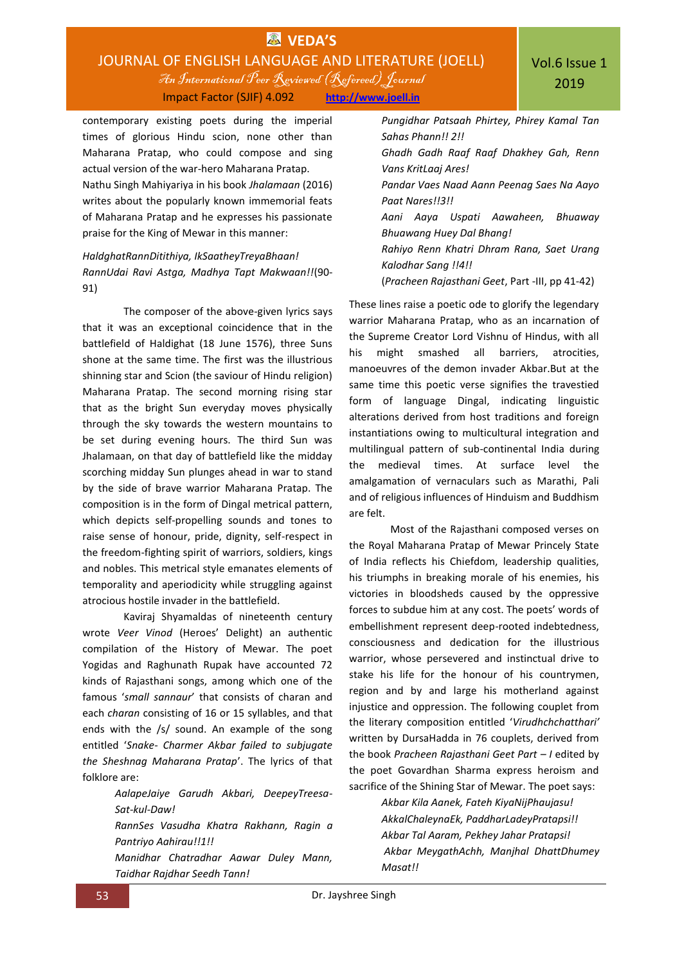# **EX** VEDA'S JOURNAL OF ENGLISH LANGUAGE AND LITERATURE (JOELL) An International Peer Reviewed (Refereed)Journal

Impact Factor (SJIF) 4.092 **http://www.joell.in**

contemporary existing poets during the imperial times of glorious Hindu scion, none other than Maharana Pratap, who could compose and sing actual version of the war-hero Maharana Pratap. Nathu Singh Mahiyariya in his book *Jhalamaan* (2016) writes about the popularly known immemorial feats of Maharana Pratap and he expresses his passionate praise for the King of Mewar in this manner:

### *HaldghatRannDitithiya, IkSaatheyTreyaBhaan! RannUdai Ravi Astga, Madhya Tapt Makwaan!!*(90- 91)

The composer of the above-given lyrics says that it was an exceptional coincidence that in the battlefield of Haldighat (18 June 1576), three Suns shone at the same time. The first was the illustrious shinning star and Scion (the saviour of Hindu religion) Maharana Pratap. The second morning rising star that as the bright Sun everyday moves physically through the sky towards the western mountains to be set during evening hours. The third Sun was Jhalamaan, on that day of battlefield like the midday scorching midday Sun plunges ahead in war to stand by the side of brave warrior Maharana Pratap. The composition is in the form of Dingal metrical pattern, which depicts self-propelling sounds and tones to raise sense of honour, pride, dignity, self-respect in the freedom-fighting spirit of warriors, soldiers, kings and nobles. This metrical style emanates elements of temporality and aperiodicity while struggling against atrocious hostile invader in the battlefield.

Kaviraj Shyamaldas of nineteenth century wrote *Veer Vinod* (Heroes' Delight) an authentic compilation of the History of Mewar. The poet Yogidas and Raghunath Rupak have accounted 72 kinds of Rajasthani songs, among which one of the famous '*small sannaur*' that consists of charan and each *charan* consisting of 16 or 15 syllables, and that ends with the /s/ sound. An example of the song entitled '*Snake- Charmer Akbar failed to subjugate the Sheshnag Maharana Pratap*'. The lyrics of that folklore are:

> *AalapeJaiye Garudh Akbari, DeepeyTreesa-Sat-kul-Daw! RannSes Vasudha Khatra Rakhann, Ragin a Pantriyo Aahirau!!1!! Manidhar Chatradhar Aawar Duley Mann, Taidhar Rajdhar Seedh Tann!*

*Pungidhar Patsaah Phirtey, Phirey Kamal Tan Sahas Phann!! 2!!*

*Ghadh Gadh Raaf Raaf Dhakhey Gah, Renn Vans KritLaaj Ares!*

*Pandar Vaes Naad Aann Peenag Saes Na Aayo Paat Nares!!3!!*

*Aani Aaya Uspati Aawaheen, Bhuaway Bhuawang Huey Dal Bhang!*

*Rahiyo Renn Khatri Dhram Rana, Saet Urang Kalodhar Sang !!4!!*

(*Pracheen Rajasthani Geet*, Part -III, pp 41-42)

These lines raise a poetic ode to glorify the legendary warrior Maharana Pratap, who as an incarnation of the Supreme Creator Lord Vishnu of Hindus, with all his might smashed all barriers, atrocities, manoeuvres of the demon invader Akbar.But at the same time this poetic verse signifies the travestied form of language Dingal, indicating linguistic alterations derived from host traditions and foreign instantiations owing to multicultural integration and multilingual pattern of sub-continental India during the medieval times. At surface level the amalgamation of vernaculars such as Marathi, Pali and of religious influences of Hinduism and Buddhism are felt.

Most of the Rajasthani composed verses on the Royal Maharana Pratap of Mewar Princely State of India reflects his Chiefdom, leadership qualities, his triumphs in breaking morale of his enemies, his victories in bloodsheds caused by the oppressive forces to subdue him at any cost. The poets' words of embellishment represent deep-rooted indebtedness, consciousness and dedication for the illustrious warrior, whose persevered and instinctual drive to stake his life for the honour of his countrymen, region and by and large his motherland against injustice and oppression. The following couplet from the literary composition entitled '*Virudhchchatthari'* written by DursaHadda in 76 couplets, derived from the book *Pracheen Rajasthani Geet Part – I* edited by the poet Govardhan Sharma express heroism and sacrifice of the Shining Star of Mewar. The poet says:

> *Akbar Kila Aanek, Fateh KiyaNijPhaujasu! AkkalChaleynaEk, PaddharLadeyPratapsi!! Akbar Tal Aaram, Pekhey Jahar Pratapsi! Akbar MeygathAchh, Manjhal DhattDhumey Masat!!*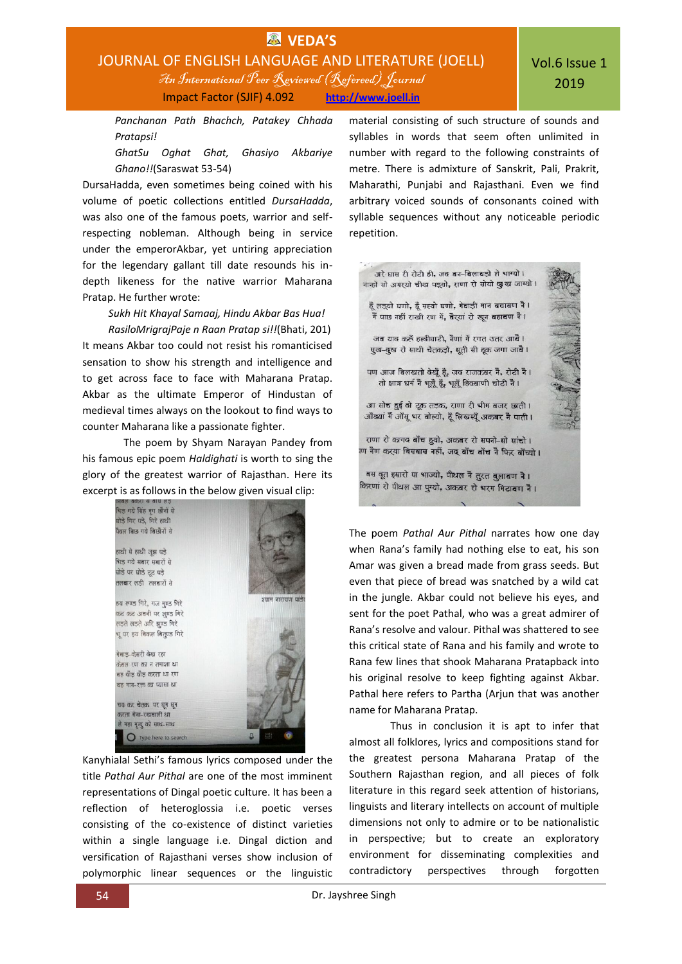

*Panchanan Path Bhachch, Patakey Chhada Pratapsi!*

*GhatSu Oghat Ghat, Ghasiyo Akbariye Ghano!!*(Saraswat 53-54)

DursaHadda, even sometimes being coined with his volume of poetic collections entitled *DursaHadda*, was also one of the famous poets, warrior and selfrespecting nobleman. Although being in service under the emperorAkbar, yet untiring appreciation for the legendary gallant till date resounds his indepth likeness for the native warrior Maharana Pratap. He further wrote:

*Sukh Hit Khayal Samaaj, Hindu Akbar Bas Hua! RasiloMrigrajPaje n Raan Pratap si!!*(Bhati, 201) It means Akbar too could not resist his romanticised sensation to show his strength and intelligence and to get across face to face with Maharana Pratap. Akbar as the ultimate Emperor of Hindustan of medieval times always on the lookout to find ways to counter Maharana like a passionate fighter.

The poem by Shyam Narayan Pandey from his famous epic poem *Haldighati* is worth to sing the glory of the greatest warrior of Rajasthan. Here its excerpt is as follows in the below given visual clip:



Kanyhialal Sethi's famous lyrics composed under the title *Pathal Aur Pithal* are one of the most imminent representations of Dingal poetic culture. It has been a reflection of heteroglossia i.e. poetic verses consisting of the co-existence of distinct varieties within a single language i.e. Dingal diction and versification of Rajasthani verses show inclusion of polymorphic linear sequences or the linguistic

material consisting of such structure of sounds and syllables in words that seem often unlimited in number with regard to the following constraints of metre. There is admixture of Sanskrit, Pali, Prakrit, Maharathi, Punjabi and Rajasthani. Even we find arbitrary voiced sounds of consonants coined with syllable sequences without any noticeable periodic repetition.



The poem *Pathal Aur Pithal* narrates how one day when Rana's family had nothing else to eat, his son Amar was given a bread made from grass seeds. But even that piece of bread was snatched by a wild cat in the jungle. Akbar could not believe his eyes, and sent for the poet Pathal, who was a great admirer of Rana's resolve and valour. Pithal was shattered to see this critical state of Rana and his family and wrote to Rana few lines that shook Maharana Pratapback into his original resolve to keep fighting against Akbar. Pathal here refers to Partha (Arjun that was another name for Maharana Pratap.

Thus in conclusion it is apt to infer that almost all folklores, lyrics and compositions stand for the greatest persona Maharana Pratap of the Southern Rajasthan region, and all pieces of folk literature in this regard seek attention of historians, linguists and literary intellects on account of multiple dimensions not only to admire or to be nationalistic in perspective; but to create an exploratory environment for disseminating complexities and contradictory perspectives through forgotten